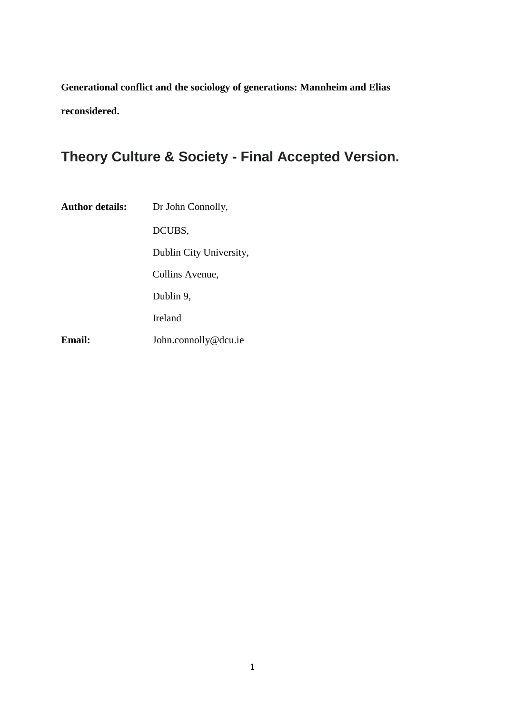**Generational conflict and the sociology of generations: Mannheim and Elias reconsidered.** 

# **Theory Culture & Society - Final Accepted Version.**

| <b>Author details:</b> | Dr John Connolly,       |
|------------------------|-------------------------|
|                        | DCUBS,                  |
|                        | Dublin City University, |
|                        | Collins Avenue,         |
|                        | Dublin 9,               |
|                        | Ireland                 |
| Email:                 | John.connolly@dcu.ie    |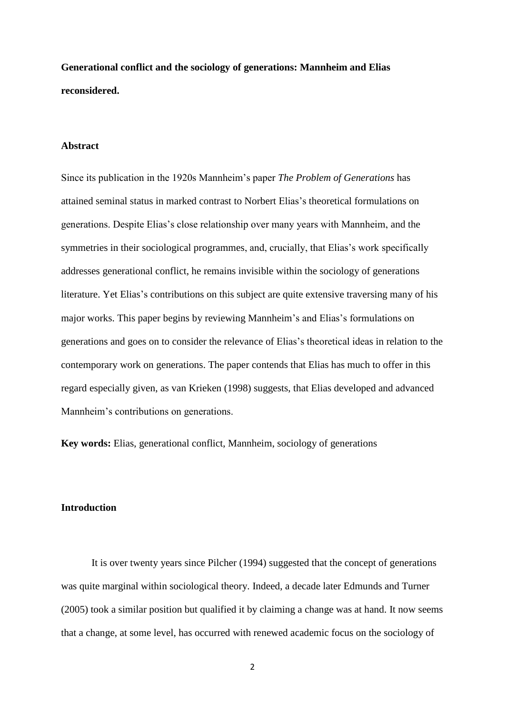**Generational conflict and the sociology of generations: Mannheim and Elias reconsidered.** 

# **Abstract**

Since its publication in the 1920s Mannheim's paper *The Problem of Generations* has attained seminal status in marked contrast to Norbert Elias's theoretical formulations on generations. Despite Elias's close relationship over many years with Mannheim, and the symmetries in their sociological programmes, and, crucially, that Elias's work specifically addresses generational conflict, he remains invisible within the sociology of generations literature. Yet Elias's contributions on this subject are quite extensive traversing many of his major works. This paper begins by reviewing Mannheim's and Elias's formulations on generations and goes on to consider the relevance of Elias's theoretical ideas in relation to the contemporary work on generations. The paper contends that Elias has much to offer in this regard especially given, as van Krieken (1998) suggests, that Elias developed and advanced Mannheim's contributions on generations.

**Key words:** Elias, generational conflict, Mannheim, sociology of generations

# **Introduction**

It is over twenty years since Pilcher (1994) suggested that the concept of generations was quite marginal within sociological theory. Indeed, a decade later Edmunds and Turner (2005) took a similar position but qualified it by claiming a change was at hand. It now seems that a change, at some level, has occurred with renewed academic focus on the sociology of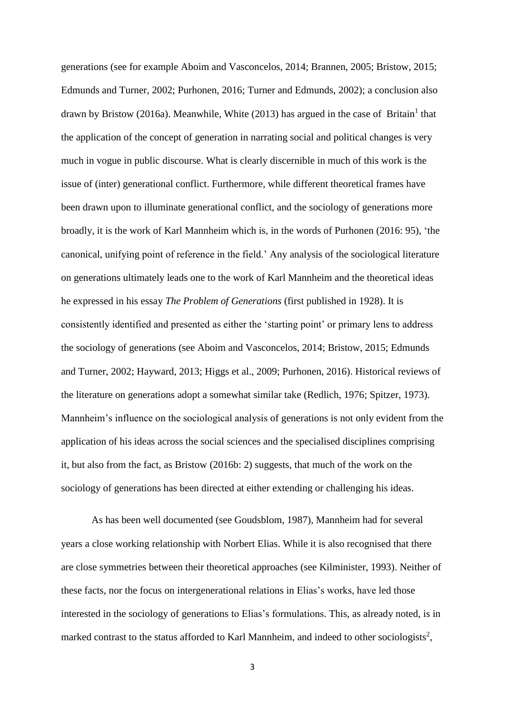generations (see for example Aboim and Vasconcelos, 2014; Brannen, 2005; Bristow, 2015; Edmunds and Turner, 2002; Purhonen, 2016; Turner and Edmunds, 2002); a conclusion also drawn by Bristow (2016a). Meanwhile, White (2013) has argued in the case of Britain<sup>1</sup> that the application of the concept of generation in narrating social and political changes is very much in vogue in public discourse. What is clearly discernible in much of this work is the issue of (inter) generational conflict. Furthermore, while different theoretical frames have been drawn upon to illuminate generational conflict, and the sociology of generations more broadly, it is the work of Karl Mannheim which is, in the words of Purhonen (2016: 95), 'the canonical, unifying point of reference in the field.' Any analysis of the sociological literature on generations ultimately leads one to the work of Karl Mannheim and the theoretical ideas he expressed in his essay *The Problem of Generations* (first published in 1928). It is consistently identified and presented as either the 'starting point' or primary lens to address the sociology of generations (see Aboim and Vasconcelos, 2014; Bristow, 2015; Edmunds and Turner, 2002; Hayward, 2013; Higgs et al., 2009; Purhonen, 2016). Historical reviews of the literature on generations adopt a somewhat similar take (Redlich, 1976; Spitzer, 1973). Mannheim's influence on the sociological analysis of generations is not only evident from the application of his ideas across the social sciences and the specialised disciplines comprising it, but also from the fact, as Bristow (2016b: 2) suggests, that much of the work on the sociology of generations has been directed at either extending or challenging his ideas.

As has been well documented (see Goudsblom, 1987), Mannheim had for several years a close working relationship with Norbert Elias. While it is also recognised that there are close symmetries between their theoretical approaches (see Kilminister, 1993). Neither of these facts, nor the focus on intergenerational relations in Elias's works, have led those interested in the sociology of generations to Elias's formulations. This, as already noted, is in marked contrast to the status afforded to Karl Mannheim, and indeed to other sociologists<sup>2</sup>,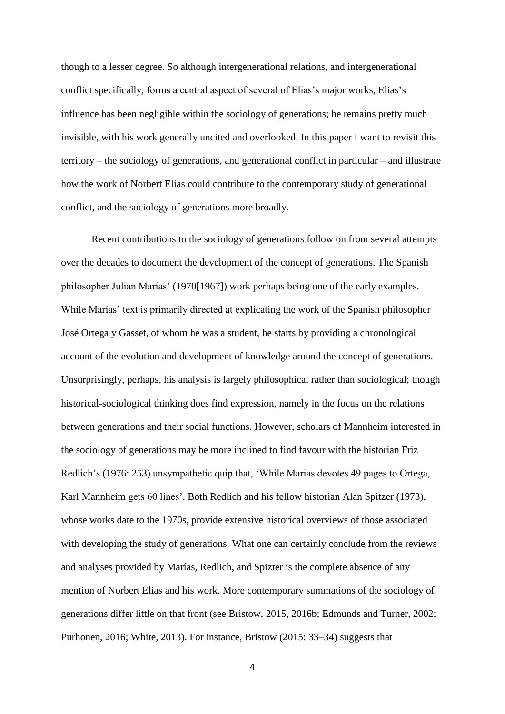though to a lesser degree. So although intergenerational relations, and intergenerational conflict specifically, forms a central aspect of several of Elias's major works, Elias's influence has been negligible within the sociology of generations; he remains pretty much invisible, with his work generally uncited and overlooked. In this paper I want to revisit this territory – the sociology of generations, and generational conflict in particular – and illustrate how the work of Norbert Elias could contribute to the contemporary study of generational conflict, and the sociology of generations more broadly.

Recent contributions to the sociology of generations follow on from several attempts over the decades to document the development of the concept of generations. The Spanish philosopher Julian Marías' (1970[1967]) work perhaps being one of the early examples. While Marias' text is primarily directed at explicating the work of the Spanish philosopher José Ortega y Gasset, of whom he was a student, he starts by providing a chronological account of the evolution and development of knowledge around the concept of generations. Unsurprisingly, perhaps, his analysis is largely philosophical rather than sociological; though historical-sociological thinking does find expression, namely in the focus on the relations between generations and their social functions. However, scholars of Mannheim interested in the sociology of generations may be more inclined to find favour with the historian Friz Redlich's (1976: 253) unsympathetic quip that, 'While Marias devotes 49 pages to Ortega, Karl Mannheim gets 60 lines'. Both Redlich and his fellow historian Alan Spitzer (1973), whose works date to the 1970s, provide extensive historical overviews of those associated with developing the study of generations. What one can certainly conclude from the reviews and analyses provided by Marías, Redlich, and Spizter is the complete absence of any mention of Norbert Elias and his work. More contemporary summations of the sociology of generations differ little on that front (see Bristow, 2015, 2016b; Edmunds and Turner, 2002; Purhonen, 2016; White, 2013). For instance, Bristow (2015: 33–34) suggests that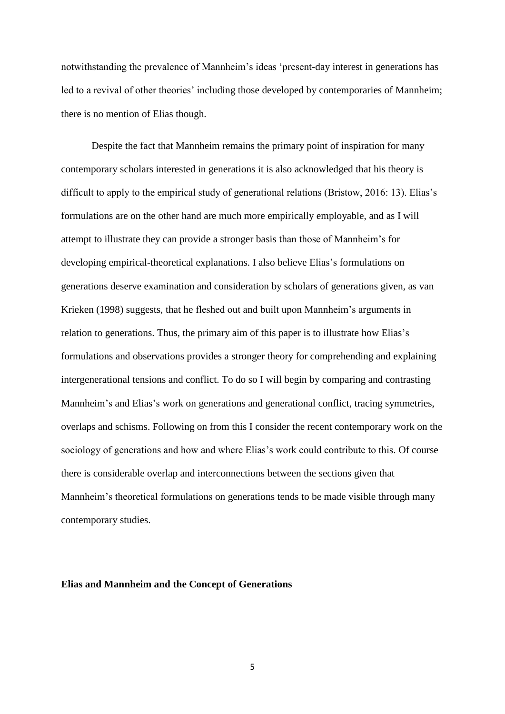notwithstanding the prevalence of Mannheim's ideas 'present-day interest in generations has led to a revival of other theories' including those developed by contemporaries of Mannheim; there is no mention of Elias though.

Despite the fact that Mannheim remains the primary point of inspiration for many contemporary scholars interested in generations it is also acknowledged that his theory is difficult to apply to the empirical study of generational relations (Bristow, 2016: 13). Elias's formulations are on the other hand are much more empirically employable, and as I will attempt to illustrate they can provide a stronger basis than those of Mannheim's for developing empirical-theoretical explanations. I also believe Elias's formulations on generations deserve examination and consideration by scholars of generations given, as van Krieken (1998) suggests, that he fleshed out and built upon Mannheim's arguments in relation to generations. Thus, the primary aim of this paper is to illustrate how Elias's formulations and observations provides a stronger theory for comprehending and explaining intergenerational tensions and conflict. To do so I will begin by comparing and contrasting Mannheim's and Elias's work on generations and generational conflict, tracing symmetries, overlaps and schisms. Following on from this I consider the recent contemporary work on the sociology of generations and how and where Elias's work could contribute to this. Of course there is considerable overlap and interconnections between the sections given that Mannheim's theoretical formulations on generations tends to be made visible through many contemporary studies.

### **Elias and Mannheim and the Concept of Generations**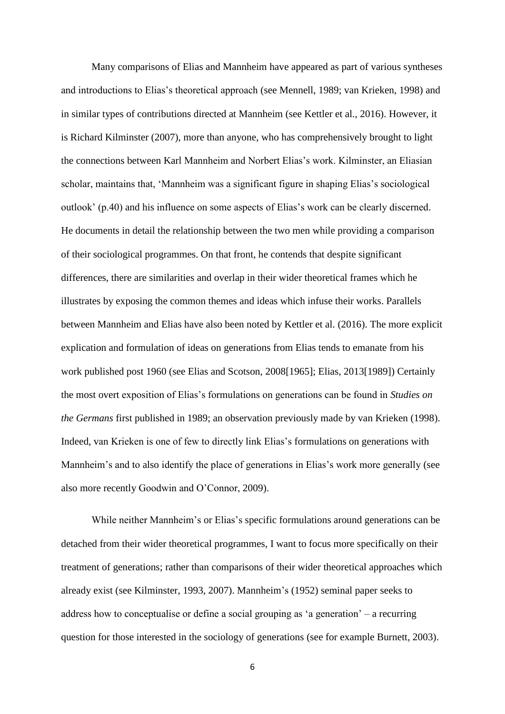Many comparisons of Elias and Mannheim have appeared as part of various syntheses and introductions to Elias's theoretical approach (see Mennell, 1989; van Krieken, 1998) and in similar types of contributions directed at Mannheim (see Kettler et al., 2016). However, it is Richard Kilminster (2007), more than anyone, who has comprehensively brought to light the connections between Karl Mannheim and Norbert Elias's work. Kilminster, an Eliasian scholar, maintains that, 'Mannheim was a significant figure in shaping Elias's sociological outlook' (p.40) and his influence on some aspects of Elias's work can be clearly discerned. He documents in detail the relationship between the two men while providing a comparison of their sociological programmes. On that front, he contends that despite significant differences, there are similarities and overlap in their wider theoretical frames which he illustrates by exposing the common themes and ideas which infuse their works. Parallels between Mannheim and Elias have also been noted by Kettler et al. (2016). The more explicit explication and formulation of ideas on generations from Elias tends to emanate from his work published post 1960 (see Elias and Scotson, 2008[1965]; Elias, 2013[1989]) Certainly the most overt exposition of Elias's formulations on generations can be found in *Studies on the Germans* first published in 1989; an observation previously made by van Krieken (1998). Indeed, van Krieken is one of few to directly link Elias's formulations on generations with Mannheim's and to also identify the place of generations in Elias's work more generally (see also more recently Goodwin and O'Connor, 2009).

While neither Mannheim's or Elias's specific formulations around generations can be detached from their wider theoretical programmes, I want to focus more specifically on their treatment of generations; rather than comparisons of their wider theoretical approaches which already exist (see Kilminster, 1993, 2007). Mannheim's (1952) seminal paper seeks to address how to conceptualise or define a social grouping as 'a generation' – a recurring question for those interested in the sociology of generations (see for example Burnett, 2003).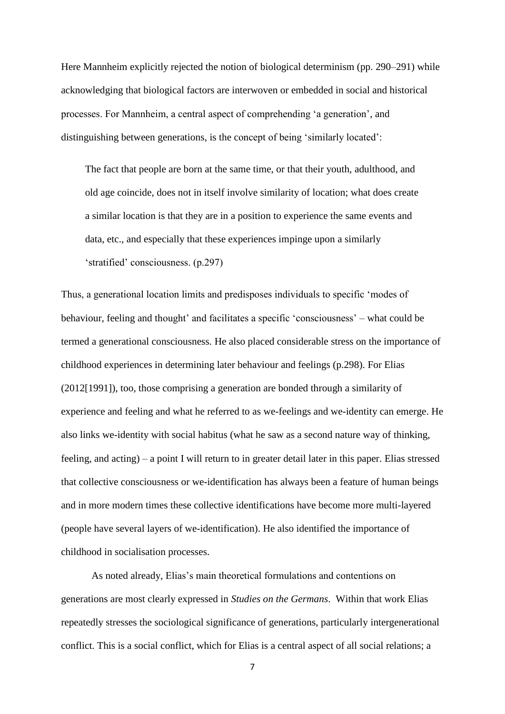Here Mannheim explicitly rejected the notion of biological determinism (pp. 290–291) while acknowledging that biological factors are interwoven or embedded in social and historical processes. For Mannheim, a central aspect of comprehending 'a generation', and distinguishing between generations, is the concept of being 'similarly located':

The fact that people are born at the same time, or that their youth, adulthood, and old age coincide, does not in itself involve similarity of location; what does create a similar location is that they are in a position to experience the same events and data, etc., and especially that these experiences impinge upon a similarly 'stratified' consciousness. (p.297)

Thus, a generational location limits and predisposes individuals to specific 'modes of behaviour, feeling and thought' and facilitates a specific 'consciousness' – what could be termed a generational consciousness. He also placed considerable stress on the importance of childhood experiences in determining later behaviour and feelings (p.298). For Elias (2012[1991]), too, those comprising a generation are bonded through a similarity of experience and feeling and what he referred to as we-feelings and we-identity can emerge. He also links we-identity with social habitus (what he saw as a second nature way of thinking, feeling, and acting) – a point I will return to in greater detail later in this paper. Elias stressed that collective consciousness or we-identification has always been a feature of human beings and in more modern times these collective identifications have become more multi-layered (people have several layers of we-identification). He also identified the importance of childhood in socialisation processes.

As noted already, Elias's main theoretical formulations and contentions on generations are most clearly expressed in *Studies on the Germans*. Within that work Elias repeatedly stresses the sociological significance of generations, particularly intergenerational conflict. This is a social conflict, which for Elias is a central aspect of all social relations; a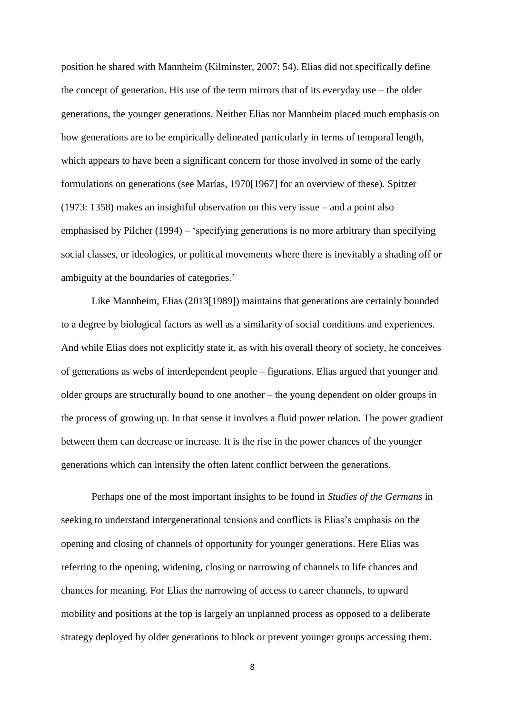position he shared with Mannheim (Kilminster, 2007: 54). Elias did not specifically define the concept of generation. His use of the term mirrors that of its everyday use – the older generations, the younger generations. Neither Elias nor Mannheim placed much emphasis on how generations are to be empirically delineated particularly in terms of temporal length, which appears to have been a significant concern for those involved in some of the early formulations on generations (see Marías, 1970[1967] for an overview of these). Spitzer (1973: 1358) makes an insightful observation on this very issue – and a point also emphasised by Pilcher (1994) – 'specifying generations is no more arbitrary than specifying social classes, or ideologies, or political movements where there is inevitably a shading off or ambiguity at the boundaries of categories.'

Like Mannheim, Elias (2013[1989]) maintains that generations are certainly bounded to a degree by biological factors as well as a similarity of social conditions and experiences. And while Elias does not explicitly state it, as with his overall theory of society, he conceives of generations as webs of interdependent people – figurations. Elias argued that younger and older groups are structurally bound to one another – the young dependent on older groups in the process of growing up. In that sense it involves a fluid power relation. The power gradient between them can decrease or increase. It is the rise in the power chances of the younger generations which can intensify the often latent conflict between the generations.

Perhaps one of the most important insights to be found in *Studies of the Germans* in seeking to understand intergenerational tensions and conflicts is Elias's emphasis on the opening and closing of channels of opportunity for younger generations. Here Elias was referring to the opening, widening, closing or narrowing of channels to life chances and chances for meaning. For Elias the narrowing of access to career channels, to upward mobility and positions at the top is largely an unplanned process as opposed to a deliberate strategy deployed by older generations to block or prevent younger groups accessing them.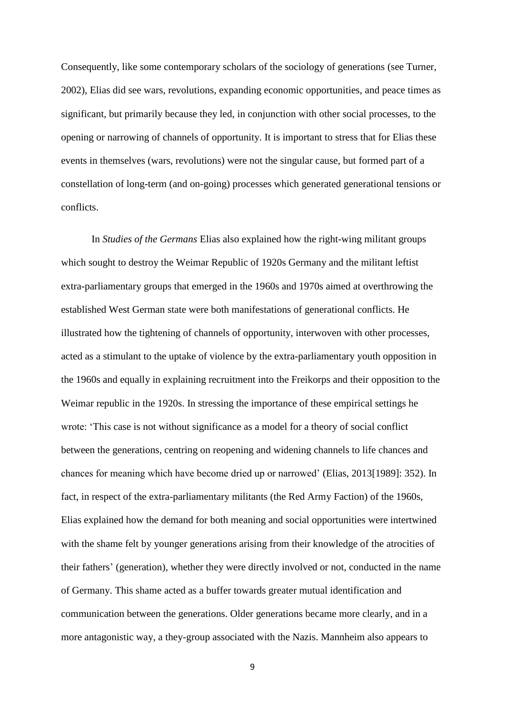Consequently, like some contemporary scholars of the sociology of generations (see Turner, 2002), Elias did see wars, revolutions, expanding economic opportunities, and peace times as significant, but primarily because they led, in conjunction with other social processes, to the opening or narrowing of channels of opportunity. It is important to stress that for Elias these events in themselves (wars, revolutions) were not the singular cause, but formed part of a constellation of long-term (and on-going) processes which generated generational tensions or conflicts.

In *Studies of the Germans* Elias also explained how the right-wing militant groups which sought to destroy the Weimar Republic of 1920s Germany and the militant leftist extra-parliamentary groups that emerged in the 1960s and 1970s aimed at overthrowing the established West German state were both manifestations of generational conflicts. He illustrated how the tightening of channels of opportunity, interwoven with other processes, acted as a stimulant to the uptake of violence by the extra-parliamentary youth opposition in the 1960s and equally in explaining recruitment into the Freikorps and their opposition to the Weimar republic in the 1920s. In stressing the importance of these empirical settings he wrote: 'This case is not without significance as a model for a theory of social conflict between the generations, centring on reopening and widening channels to life chances and chances for meaning which have become dried up or narrowed' (Elias, 2013[1989]: 352). In fact, in respect of the extra-parliamentary militants (the Red Army Faction) of the 1960s, Elias explained how the demand for both meaning and social opportunities were intertwined with the shame felt by younger generations arising from their knowledge of the atrocities of their fathers' (generation), whether they were directly involved or not, conducted in the name of Germany. This shame acted as a buffer towards greater mutual identification and communication between the generations. Older generations became more clearly, and in a more antagonistic way, a they-group associated with the Nazis. Mannheim also appears to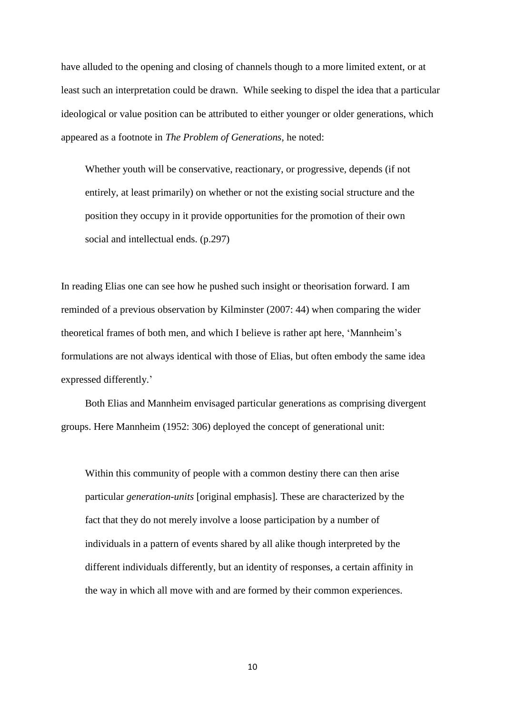have alluded to the opening and closing of channels though to a more limited extent, or at least such an interpretation could be drawn. While seeking to dispel the idea that a particular ideological or value position can be attributed to either younger or older generations, which appeared as a footnote in *The Problem of Generations*, he noted:

Whether youth will be conservative, reactionary, or progressive, depends (if not entirely, at least primarily) on whether or not the existing social structure and the position they occupy in it provide opportunities for the promotion of their own social and intellectual ends. (p.297)

In reading Elias one can see how he pushed such insight or theorisation forward. I am reminded of a previous observation by Kilminster (2007: 44) when comparing the wider theoretical frames of both men, and which I believe is rather apt here, 'Mannheim's formulations are not always identical with those of Elias, but often embody the same idea expressed differently.'

Both Elias and Mannheim envisaged particular generations as comprising divergent groups. Here Mannheim (1952: 306) deployed the concept of generational unit:

Within this community of people with a common destiny there can then arise particular *generation-units* [original emphasis]*.* These are characterized by the fact that they do not merely involve a loose participation by a number of individuals in a pattern of events shared by all alike though interpreted by the different individuals differently, but an identity of responses, a certain affinity in the way in which all move with and are formed by their common experiences.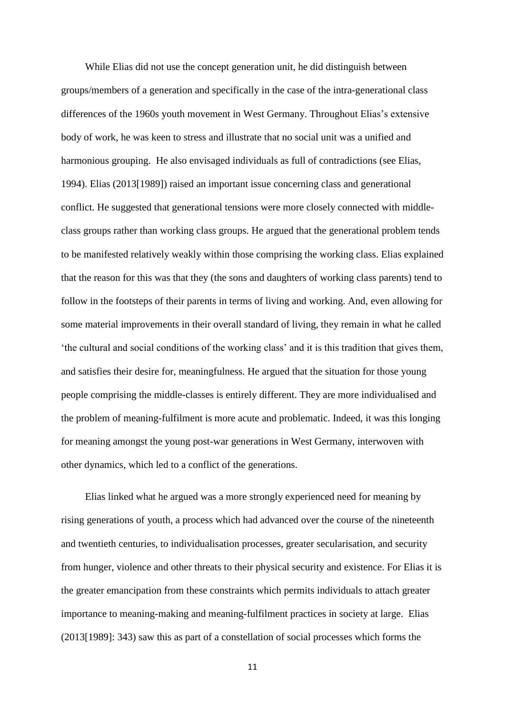While Elias did not use the concept generation unit, he did distinguish between groups/members of a generation and specifically in the case of the intra-generational class differences of the 1960s youth movement in West Germany. Throughout Elias's extensive body of work, he was keen to stress and illustrate that no social unit was a unified and harmonious grouping. He also envisaged individuals as full of contradictions (see Elias, 1994). Elias (2013[1989]) raised an important issue concerning class and generational conflict. He suggested that generational tensions were more closely connected with middleclass groups rather than working class groups. He argued that the generational problem tends to be manifested relatively weakly within those comprising the working class. Elias explained that the reason for this was that they (the sons and daughters of working class parents) tend to follow in the footsteps of their parents in terms of living and working. And, even allowing for some material improvements in their overall standard of living, they remain in what he called 'the cultural and social conditions of the working class' and it is this tradition that gives them, and satisfies their desire for, meaningfulness. He argued that the situation for those young people comprising the middle-classes is entirely different. They are more individualised and the problem of meaning-fulfilment is more acute and problematic. Indeed, it was this longing for meaning amongst the young post-war generations in West Germany, interwoven with other dynamics, which led to a conflict of the generations.

Elias linked what he argued was a more strongly experienced need for meaning by rising generations of youth, a process which had advanced over the course of the nineteenth and twentieth centuries, to individualisation processes, greater secularisation, and security from hunger, violence and other threats to their physical security and existence. For Elias it is the greater emancipation from these constraints which permits individuals to attach greater importance to meaning-making and meaning-fulfilment practices in society at large. Elias (2013[1989]: 343) saw this as part of a constellation of social processes which forms the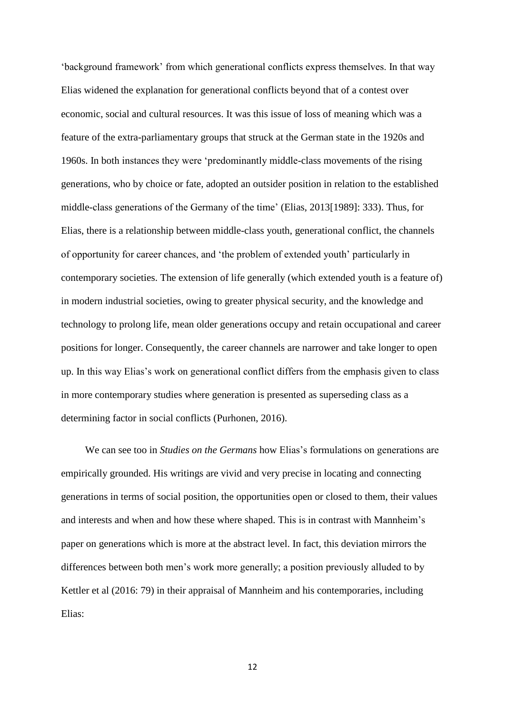'background framework' from which generational conflicts express themselves. In that way Elias widened the explanation for generational conflicts beyond that of a contest over economic, social and cultural resources. It was this issue of loss of meaning which was a feature of the extra-parliamentary groups that struck at the German state in the 1920s and 1960s. In both instances they were 'predominantly middle-class movements of the rising generations, who by choice or fate, adopted an outsider position in relation to the established middle-class generations of the Germany of the time' (Elias, 2013[1989]: 333). Thus, for Elias, there is a relationship between middle-class youth, generational conflict, the channels of opportunity for career chances, and 'the problem of extended youth' particularly in contemporary societies. The extension of life generally (which extended youth is a feature of) in modern industrial societies, owing to greater physical security, and the knowledge and technology to prolong life, mean older generations occupy and retain occupational and career positions for longer. Consequently, the career channels are narrower and take longer to open up. In this way Elias's work on generational conflict differs from the emphasis given to class in more contemporary studies where generation is presented as superseding class as a determining factor in social conflicts (Purhonen, 2016).

We can see too in *Studies on the Germans* how Elias's formulations on generations are empirically grounded. His writings are vivid and very precise in locating and connecting generations in terms of social position, the opportunities open or closed to them, their values and interests and when and how these where shaped. This is in contrast with Mannheim's paper on generations which is more at the abstract level. In fact, this deviation mirrors the differences between both men's work more generally; a position previously alluded to by Kettler et al (2016: 79) in their appraisal of Mannheim and his contemporaries, including Elias: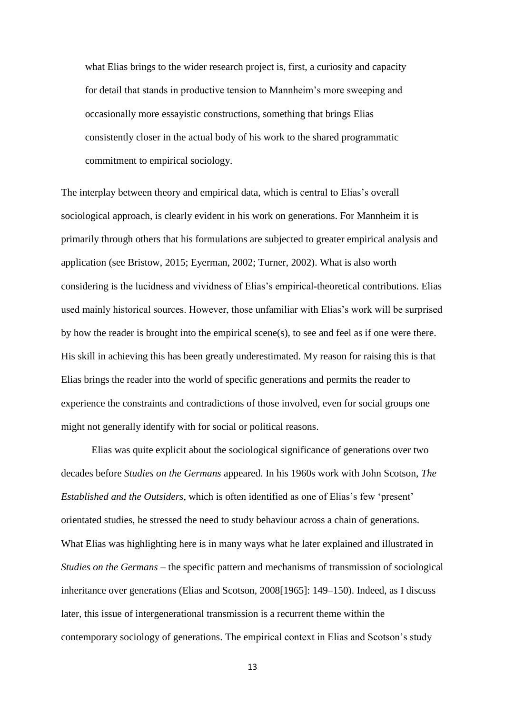what Elias brings to the wider research project is, first, a curiosity and capacity for detail that stands in productive tension to Mannheim's more sweeping and occasionally more essayistic constructions, something that brings Elias consistently closer in the actual body of his work to the shared programmatic commitment to empirical sociology.

The interplay between theory and empirical data, which is central to Elias's overall sociological approach, is clearly evident in his work on generations. For Mannheim it is primarily through others that his formulations are subjected to greater empirical analysis and application (see Bristow, 2015; Eyerman, 2002; Turner, 2002). What is also worth considering is the lucidness and vividness of Elias's empirical-theoretical contributions. Elias used mainly historical sources. However, those unfamiliar with Elias's work will be surprised by how the reader is brought into the empirical scene(s), to see and feel as if one were there. His skill in achieving this has been greatly underestimated. My reason for raising this is that Elias brings the reader into the world of specific generations and permits the reader to experience the constraints and contradictions of those involved, even for social groups one might not generally identify with for social or political reasons.

Elias was quite explicit about the sociological significance of generations over two decades before *Studies on the Germans* appeared. In his 1960s work with John Scotson, *The Established and the Outsiders*, which is often identified as one of Elias's few 'present' orientated studies, he stressed the need to study behaviour across a chain of generations. What Elias was highlighting here is in many ways what he later explained and illustrated in *Studies on the Germans* – the specific pattern and mechanisms of transmission of sociological inheritance over generations (Elias and Scotson, 2008[1965]: 149–150). Indeed, as I discuss later, this issue of intergenerational transmission is a recurrent theme within the contemporary sociology of generations. The empirical context in Elias and Scotson's study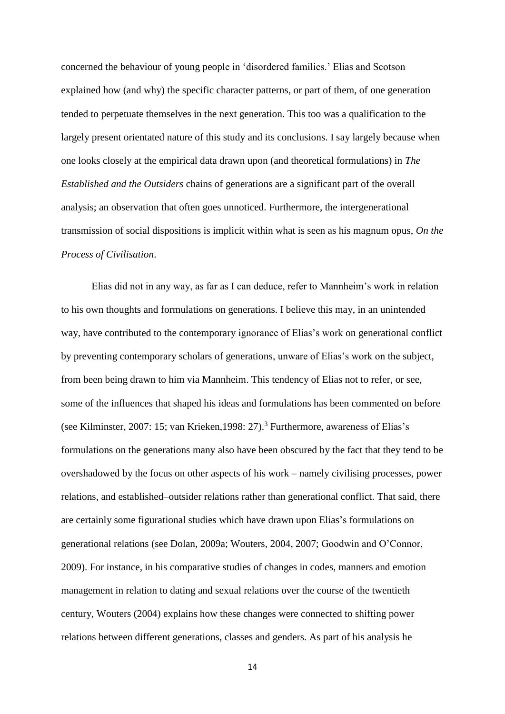concerned the behaviour of young people in 'disordered families.' Elias and Scotson explained how (and why) the specific character patterns, or part of them, of one generation tended to perpetuate themselves in the next generation. This too was a qualification to the largely present orientated nature of this study and its conclusions. I say largely because when one looks closely at the empirical data drawn upon (and theoretical formulations) in *The Established and the Outsiders* chains of generations are a significant part of the overall analysis; an observation that often goes unnoticed. Furthermore, the intergenerational transmission of social dispositions is implicit within what is seen as his magnum opus, *On the Process of Civilisation*.

Elias did not in any way, as far as I can deduce, refer to Mannheim's work in relation to his own thoughts and formulations on generations. I believe this may, in an unintended way, have contributed to the contemporary ignorance of Elias's work on generational conflict by preventing contemporary scholars of generations, unware of Elias's work on the subject, from been being drawn to him via Mannheim. This tendency of Elias not to refer, or see, some of the influences that shaped his ideas and formulations has been commented on before (see Kilminster, 2007: 15; van Krieken,1998: 27).<sup>3</sup> Furthermore, awareness of Elias's formulations on the generations many also have been obscured by the fact that they tend to be overshadowed by the focus on other aspects of his work – namely civilising processes, power relations, and established–outsider relations rather than generational conflict. That said, there are certainly some figurational studies which have drawn upon Elias's formulations on generational relations (see Dolan, 2009a; Wouters, 2004, 2007; Goodwin and O'Connor, 2009). For instance, in his comparative studies of changes in codes, manners and emotion management in relation to dating and sexual relations over the course of the twentieth century, Wouters (2004) explains how these changes were connected to shifting power relations between different generations, classes and genders. As part of his analysis he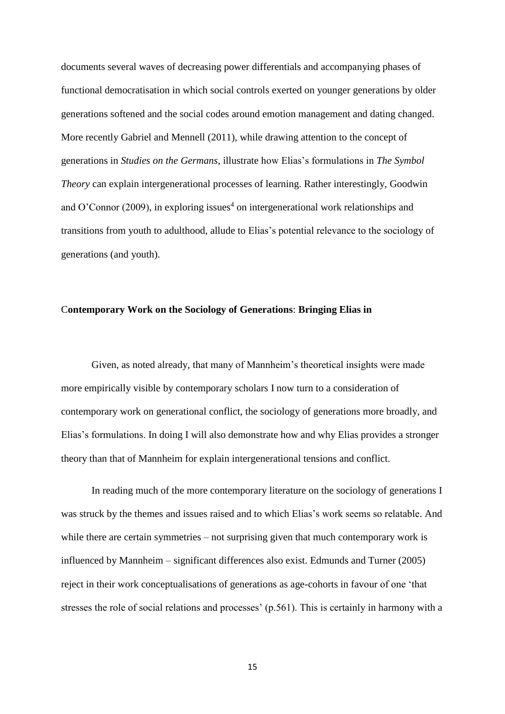documents several waves of decreasing power differentials and accompanying phases of functional democratisation in which social controls exerted on younger generations by older generations softened and the social codes around emotion management and dating changed. More recently Gabriel and Mennell (2011), while drawing attention to the concept of generations in *Studies on the Germans*, illustrate how Elias's formulations in *The Symbol Theory* can explain intergenerational processes of learning. Rather interestingly, Goodwin and O'Connor (2009), in exploring issues<sup>4</sup> on intergenerational work relationships and transitions from youth to adulthood, allude to Elias's potential relevance to the sociology of generations (and youth).

#### C**ontemporary Work on the Sociology of Generations**: **Bringing Elias in**

Given, as noted already, that many of Mannheim's theoretical insights were made more empirically visible by contemporary scholars I now turn to a consideration of contemporary work on generational conflict, the sociology of generations more broadly, and Elias's formulations. In doing I will also demonstrate how and why Elias provides a stronger theory than that of Mannheim for explain intergenerational tensions and conflict.

In reading much of the more contemporary literature on the sociology of generations I was struck by the themes and issues raised and to which Elias's work seems so relatable. And while there are certain symmetries – not surprising given that much contemporary work is influenced by Mannheim – significant differences also exist. Edmunds and Turner (2005) reject in their work conceptualisations of generations as age-cohorts in favour of one 'that stresses the role of social relations and processes' (p.561). This is certainly in harmony with a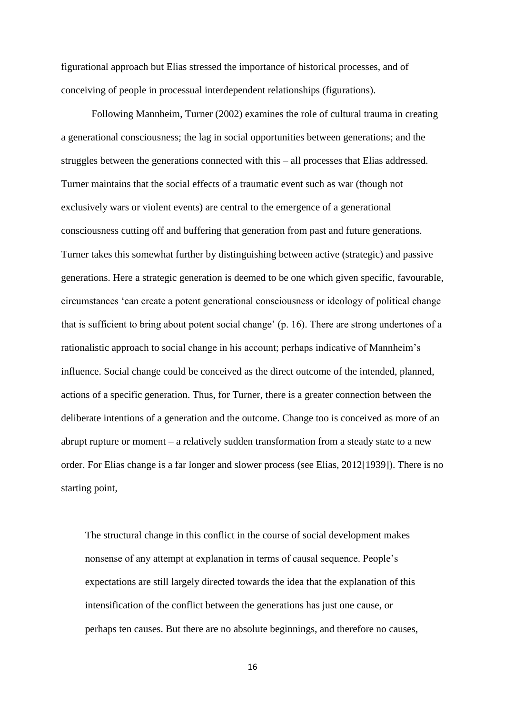figurational approach but Elias stressed the importance of historical processes, and of conceiving of people in processual interdependent relationships (figurations).

Following Mannheim, Turner (2002) examines the role of cultural trauma in creating a generational consciousness; the lag in social opportunities between generations; and the struggles between the generations connected with this – all processes that Elias addressed. Turner maintains that the social effects of a traumatic event such as war (though not exclusively wars or violent events) are central to the emergence of a generational consciousness cutting off and buffering that generation from past and future generations. Turner takes this somewhat further by distinguishing between active (strategic) and passive generations. Here a strategic generation is deemed to be one which given specific, favourable, circumstances 'can create a potent generational consciousness or ideology of political change that is sufficient to bring about potent social change' (p. 16). There are strong undertones of a rationalistic approach to social change in his account; perhaps indicative of Mannheim's influence. Social change could be conceived as the direct outcome of the intended, planned, actions of a specific generation. Thus, for Turner, there is a greater connection between the deliberate intentions of a generation and the outcome. Change too is conceived as more of an abrupt rupture or moment – a relatively sudden transformation from a steady state to a new order. For Elias change is a far longer and slower process (see Elias, 2012[1939]). There is no starting point,

The structural change in this conflict in the course of social development makes nonsense of any attempt at explanation in terms of causal sequence. People's expectations are still largely directed towards the idea that the explanation of this intensification of the conflict between the generations has just one cause, or perhaps ten causes. But there are no absolute beginnings, and therefore no causes,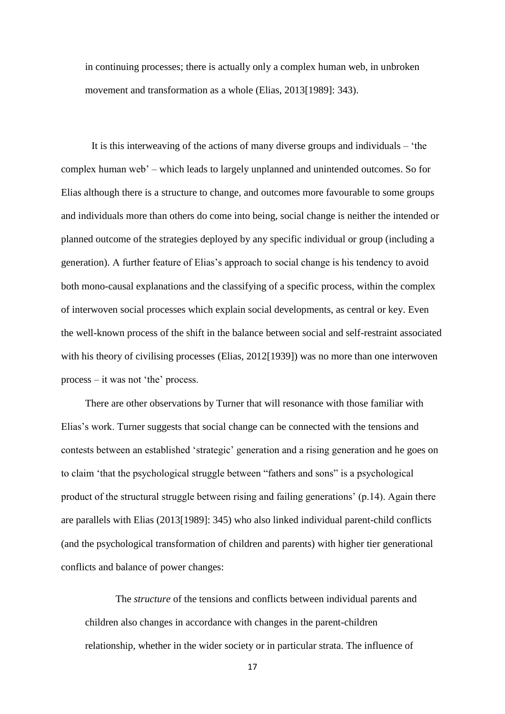in continuing processes; there is actually only a complex human web, in unbroken movement and transformation as a whole (Elias, 2013[1989]: 343).

It is this interweaving of the actions of many diverse groups and individuals – 'the complex human web' – which leads to largely unplanned and unintended outcomes. So for Elias although there is a structure to change, and outcomes more favourable to some groups and individuals more than others do come into being, social change is neither the intended or planned outcome of the strategies deployed by any specific individual or group (including a generation). A further feature of Elias's approach to social change is his tendency to avoid both mono-causal explanations and the classifying of a specific process, within the complex of interwoven social processes which explain social developments, as central or key. Even the well-known process of the shift in the balance between social and self-restraint associated with his theory of civilising processes (Elias, 2012[1939]) was no more than one interwoven process – it was not 'the' process.

There are other observations by Turner that will resonance with those familiar with Elias's work. Turner suggests that social change can be connected with the tensions and contests between an established 'strategic' generation and a rising generation and he goes on to claim 'that the psychological struggle between "fathers and sons" is a psychological product of the structural struggle between rising and failing generations' (p.14). Again there are parallels with Elias (2013[1989]: 345) who also linked individual parent-child conflicts (and the psychological transformation of children and parents) with higher tier generational conflicts and balance of power changes:

The *structure* of the tensions and conflicts between individual parents and children also changes in accordance with changes in the parent-children relationship, whether in the wider society or in particular strata. The influence of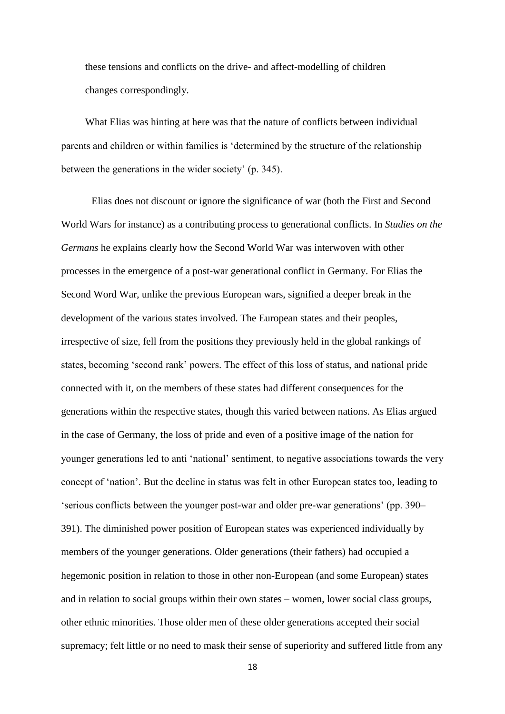these tensions and conflicts on the drive- and affect-modelling of children changes correspondingly.

What Elias was hinting at here was that the nature of conflicts between individual parents and children or within families is 'determined by the structure of the relationship between the generations in the wider society' (p. 345).

Elias does not discount or ignore the significance of war (both the First and Second World Wars for instance) as a contributing process to generational conflicts. In *Studies on the Germans* he explains clearly how the Second World War was interwoven with other processes in the emergence of a post-war generational conflict in Germany. For Elias the Second Word War, unlike the previous European wars, signified a deeper break in the development of the various states involved. The European states and their peoples, irrespective of size, fell from the positions they previously held in the global rankings of states, becoming 'second rank' powers. The effect of this loss of status, and national pride connected with it, on the members of these states had different consequences for the generations within the respective states, though this varied between nations. As Elias argued in the case of Germany, the loss of pride and even of a positive image of the nation for younger generations led to anti 'national' sentiment, to negative associations towards the very concept of 'nation'. But the decline in status was felt in other European states too, leading to 'serious conflicts between the younger post-war and older pre-war generations' (pp. 390– 391). The diminished power position of European states was experienced individually by members of the younger generations. Older generations (their fathers) had occupied a hegemonic position in relation to those in other non-European (and some European) states and in relation to social groups within their own states – women, lower social class groups, other ethnic minorities. Those older men of these older generations accepted their social supremacy; felt little or no need to mask their sense of superiority and suffered little from any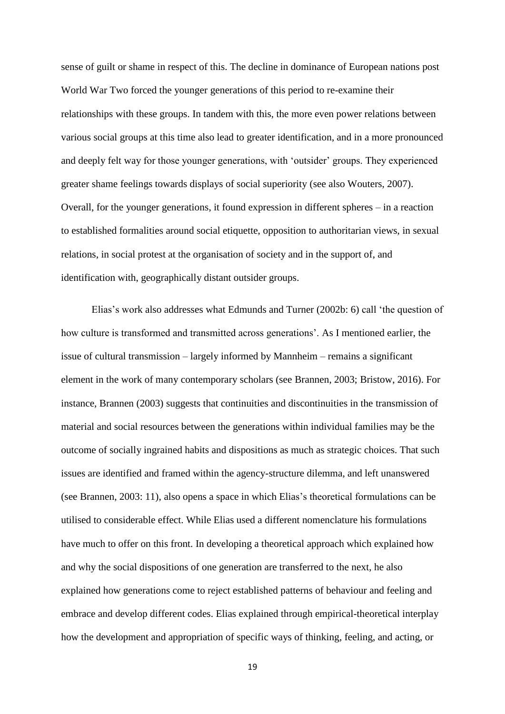sense of guilt or shame in respect of this. The decline in dominance of European nations post World War Two forced the younger generations of this period to re-examine their relationships with these groups. In tandem with this, the more even power relations between various social groups at this time also lead to greater identification, and in a more pronounced and deeply felt way for those younger generations, with 'outsider' groups. They experienced greater shame feelings towards displays of social superiority (see also Wouters, 2007). Overall, for the younger generations, it found expression in different spheres – in a reaction to established formalities around social etiquette, opposition to authoritarian views, in sexual relations, in social protest at the organisation of society and in the support of, and identification with, geographically distant outsider groups.

Elias's work also addresses what Edmunds and Turner (2002b: 6) call 'the question of how culture is transformed and transmitted across generations'. As I mentioned earlier, the issue of cultural transmission – largely informed by Mannheim – remains a significant element in the work of many contemporary scholars (see Brannen, 2003; Bristow, 2016). For instance, Brannen (2003) suggests that continuities and discontinuities in the transmission of material and social resources between the generations within individual families may be the outcome of socially ingrained habits and dispositions as much as strategic choices. That such issues are identified and framed within the agency-structure dilemma, and left unanswered (see Brannen, 2003: 11), also opens a space in which Elias's theoretical formulations can be utilised to considerable effect. While Elias used a different nomenclature his formulations have much to offer on this front. In developing a theoretical approach which explained how and why the social dispositions of one generation are transferred to the next, he also explained how generations come to reject established patterns of behaviour and feeling and embrace and develop different codes. Elias explained through empirical-theoretical interplay how the development and appropriation of specific ways of thinking, feeling, and acting, or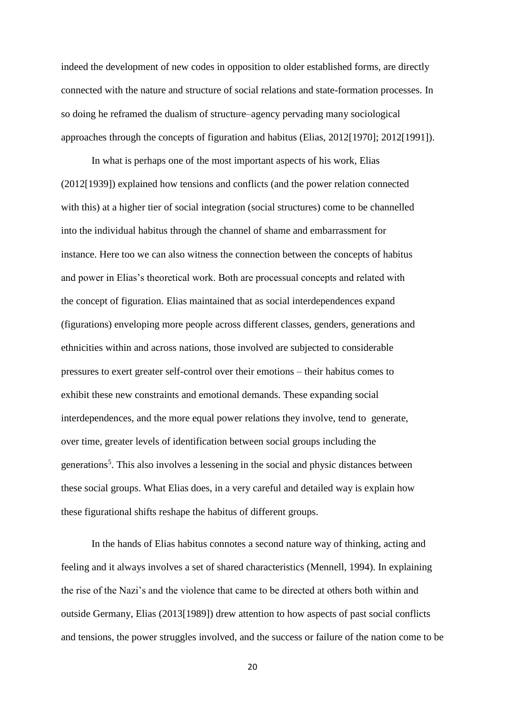indeed the development of new codes in opposition to older established forms, are directly connected with the nature and structure of social relations and state-formation processes. In so doing he reframed the dualism of structure–agency pervading many sociological approaches through the concepts of figuration and habitus (Elias, 2012[1970]; 2012[1991]).

In what is perhaps one of the most important aspects of his work, Elias (2012[1939]) explained how tensions and conflicts (and the power relation connected with this) at a higher tier of social integration (social structures) come to be channelled into the individual habitus through the channel of shame and embarrassment for instance. Here too we can also witness the connection between the concepts of habitus and power in Elias's theoretical work. Both are processual concepts and related with the concept of figuration. Elias maintained that as social interdependences expand (figurations) enveloping more people across different classes, genders, generations and ethnicities within and across nations, those involved are subjected to considerable pressures to exert greater self-control over their emotions – their habitus comes to exhibit these new constraints and emotional demands. These expanding social interdependences, and the more equal power relations they involve, tend to generate, over time, greater levels of identification between social groups including the generations<sup>5</sup>. This also involves a lessening in the social and physic distances between these social groups. What Elias does, in a very careful and detailed way is explain how these figurational shifts reshape the habitus of different groups.

In the hands of Elias habitus connotes a second nature way of thinking, acting and feeling and it always involves a set of shared characteristics (Mennell, 1994). In explaining the rise of the Nazi's and the violence that came to be directed at others both within and outside Germany, Elias (2013[1989]) drew attention to how aspects of past social conflicts and tensions, the power struggles involved, and the success or failure of the nation come to be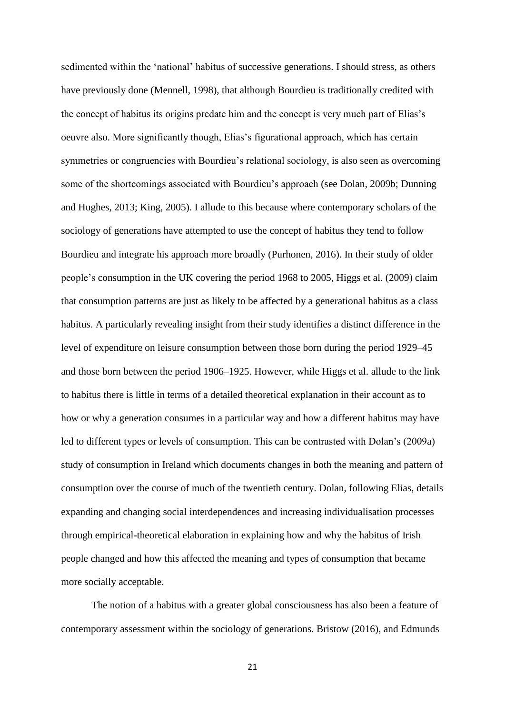sedimented within the 'national' habitus of successive generations. I should stress, as others have previously done (Mennell, 1998), that although Bourdieu is traditionally credited with the concept of habitus its origins predate him and the concept is very much part of Elias's oeuvre also. More significantly though, Elias's figurational approach, which has certain symmetries or congruencies with Bourdieu's relational sociology, is also seen as overcoming some of the shortcomings associated with Bourdieu's approach (see Dolan, 2009b; Dunning and Hughes, 2013; King, 2005). I allude to this because where contemporary scholars of the sociology of generations have attempted to use the concept of habitus they tend to follow Bourdieu and integrate his approach more broadly (Purhonen, 2016). In their study of older people's consumption in the UK covering the period 1968 to 2005, Higgs et al. (2009) claim that consumption patterns are just as likely to be affected by a generational habitus as a class habitus. A particularly revealing insight from their study identifies a distinct difference in the level of expenditure on leisure consumption between those born during the period 1929–45 and those born between the period 1906–1925. However, while Higgs et al. allude to the link to habitus there is little in terms of a detailed theoretical explanation in their account as to how or why a generation consumes in a particular way and how a different habitus may have led to different types or levels of consumption. This can be contrasted with Dolan's (2009a) study of consumption in Ireland which documents changes in both the meaning and pattern of consumption over the course of much of the twentieth century. Dolan, following Elias, details expanding and changing social interdependences and increasing individualisation processes through empirical-theoretical elaboration in explaining how and why the habitus of Irish people changed and how this affected the meaning and types of consumption that became more socially acceptable.

The notion of a habitus with a greater global consciousness has also been a feature of contemporary assessment within the sociology of generations. Bristow (2016), and Edmunds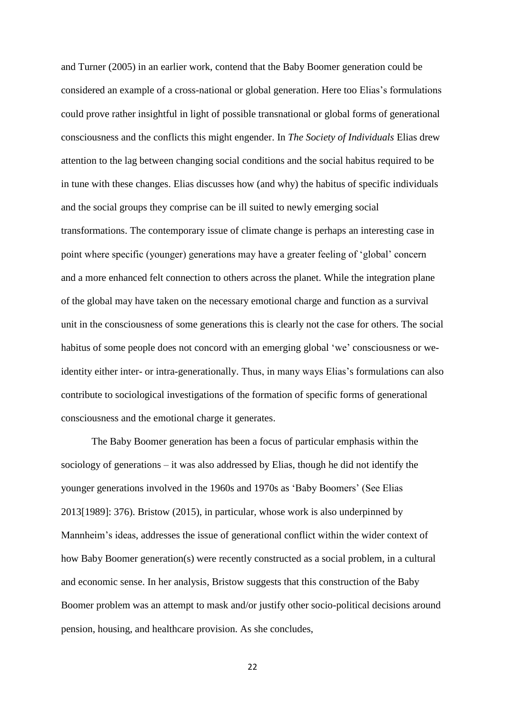and Turner (2005) in an earlier work, contend that the Baby Boomer generation could be considered an example of a cross-national or global generation. Here too Elias's formulations could prove rather insightful in light of possible transnational or global forms of generational consciousness and the conflicts this might engender. In *The Society of Individuals* Elias drew attention to the lag between changing social conditions and the social habitus required to be in tune with these changes. Elias discusses how (and why) the habitus of specific individuals and the social groups they comprise can be ill suited to newly emerging social transformations. The contemporary issue of climate change is perhaps an interesting case in point where specific (younger) generations may have a greater feeling of 'global' concern and a more enhanced felt connection to others across the planet. While the integration plane of the global may have taken on the necessary emotional charge and function as a survival unit in the consciousness of some generations this is clearly not the case for others. The social habitus of some people does not concord with an emerging global 'we' consciousness or weidentity either inter- or intra-generationally. Thus, in many ways Elias's formulations can also contribute to sociological investigations of the formation of specific forms of generational consciousness and the emotional charge it generates.

The Baby Boomer generation has been a focus of particular emphasis within the sociology of generations – it was also addressed by Elias, though he did not identify the younger generations involved in the 1960s and 1970s as 'Baby Boomers' (See Elias 2013[1989]: 376). Bristow (2015), in particular, whose work is also underpinned by Mannheim's ideas, addresses the issue of generational conflict within the wider context of how Baby Boomer generation(s) were recently constructed as a social problem, in a cultural and economic sense. In her analysis, Bristow suggests that this construction of the Baby Boomer problem was an attempt to mask and/or justify other socio-political decisions around pension, housing, and healthcare provision. As she concludes,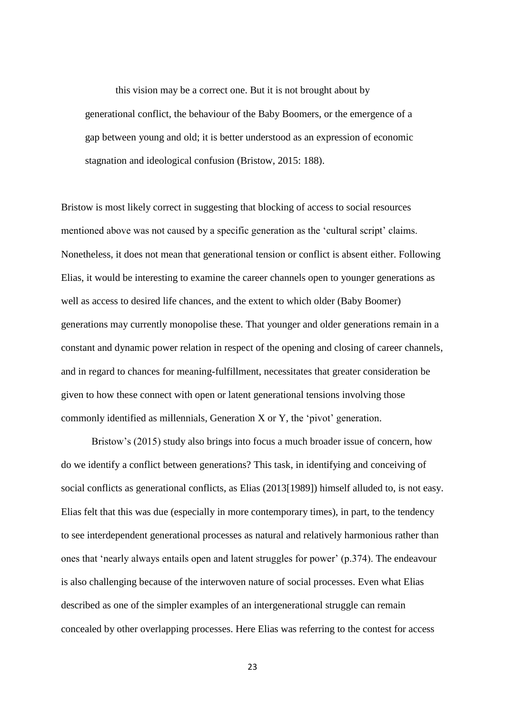this vision may be a correct one. But it is not brought about by generational conflict, the behaviour of the Baby Boomers, or the emergence of a gap between young and old; it is better understood as an expression of economic stagnation and ideological confusion (Bristow, 2015: 188).

Bristow is most likely correct in suggesting that blocking of access to social resources mentioned above was not caused by a specific generation as the 'cultural script' claims. Nonetheless, it does not mean that generational tension or conflict is absent either. Following Elias, it would be interesting to examine the career channels open to younger generations as well as access to desired life chances, and the extent to which older (Baby Boomer) generations may currently monopolise these. That younger and older generations remain in a constant and dynamic power relation in respect of the opening and closing of career channels, and in regard to chances for meaning-fulfillment, necessitates that greater consideration be given to how these connect with open or latent generational tensions involving those commonly identified as millennials, Generation X or Y, the 'pivot' generation.

Bristow's (2015) study also brings into focus a much broader issue of concern, how do we identify a conflict between generations? This task, in identifying and conceiving of social conflicts as generational conflicts, as Elias (2013[1989]) himself alluded to, is not easy. Elias felt that this was due (especially in more contemporary times), in part, to the tendency to see interdependent generational processes as natural and relatively harmonious rather than ones that 'nearly always entails open and latent struggles for power' (p.374). The endeavour is also challenging because of the interwoven nature of social processes. Even what Elias described as one of the simpler examples of an intergenerational struggle can remain concealed by other overlapping processes. Here Elias was referring to the contest for access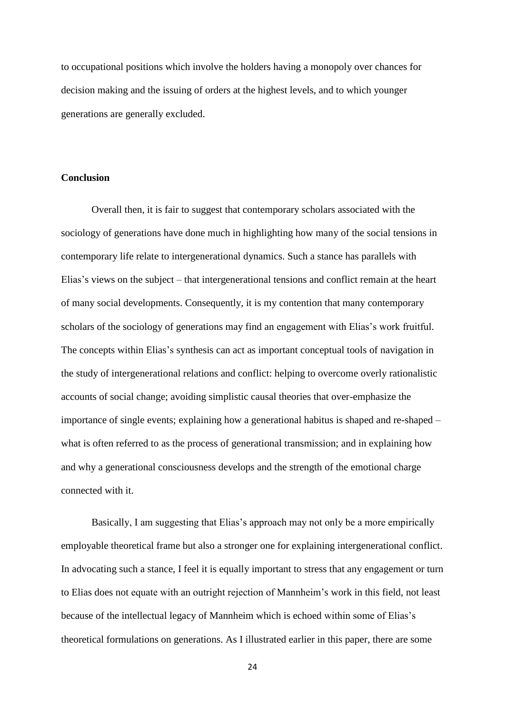to occupational positions which involve the holders having a monopoly over chances for decision making and the issuing of orders at the highest levels, and to which younger generations are generally excluded.

## **Conclusion**

Overall then, it is fair to suggest that contemporary scholars associated with the sociology of generations have done much in highlighting how many of the social tensions in contemporary life relate to intergenerational dynamics. Such a stance has parallels with Elias's views on the subject – that intergenerational tensions and conflict remain at the heart of many social developments. Consequently, it is my contention that many contemporary scholars of the sociology of generations may find an engagement with Elias's work fruitful. The concepts within Elias's synthesis can act as important conceptual tools of navigation in the study of intergenerational relations and conflict: helping to overcome overly rationalistic accounts of social change; avoiding simplistic causal theories that over-emphasize the importance of single events; explaining how a generational habitus is shaped and re-shaped – what is often referred to as the process of generational transmission; and in explaining how and why a generational consciousness develops and the strength of the emotional charge connected with it.

Basically, I am suggesting that Elias's approach may not only be a more empirically employable theoretical frame but also a stronger one for explaining intergenerational conflict. In advocating such a stance, I feel it is equally important to stress that any engagement or turn to Elias does not equate with an outright rejection of Mannheim's work in this field, not least because of the intellectual legacy of Mannheim which is echoed within some of Elias's theoretical formulations on generations. As I illustrated earlier in this paper, there are some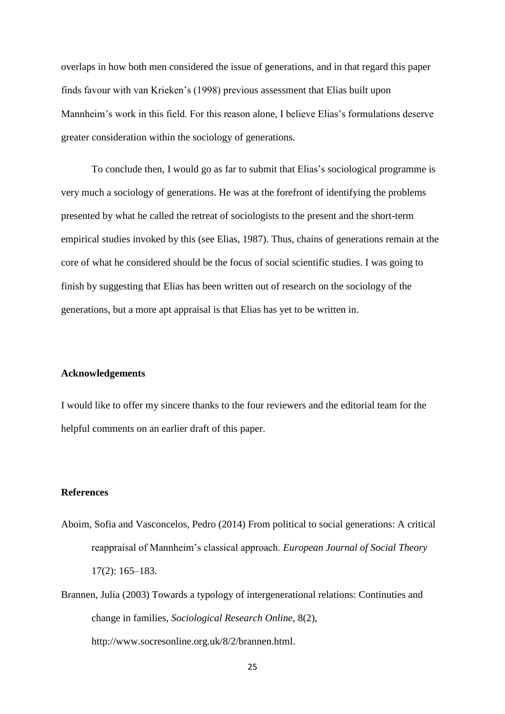overlaps in how both men considered the issue of generations, and in that regard this paper finds favour with van Krieken's (1998) previous assessment that Elias built upon Mannheim's work in this field. For this reason alone, I believe Elias's formulations deserve greater consideration within the sociology of generations.

To conclude then, I would go as far to submit that Elias's sociological programme is very much a sociology of generations. He was at the forefront of identifying the problems presented by what he called the retreat of sociologists to the present and the short-term empirical studies invoked by this (see Elias, 1987). Thus, chains of generations remain at the core of what he considered should be the focus of social scientific studies. I was going to finish by suggesting that Elias has been written out of research on the sociology of the generations, but a more apt appraisal is that Elias has yet to be written in.

#### **Acknowledgements**

I would like to offer my sincere thanks to the four reviewers and the editorial team for the helpful comments on an earlier draft of this paper.

## **References**

- Aboim, Sofia and Vasconcelos, Pedro (2014) From political to social generations: A critical reappraisal of Mannheim's classical approach. *European Journal of Social Theory* 17(2): 165–183.
- Brannen, Julia (2003) Towards a typology of intergenerational relations: Continuties and change in families, *Sociological Research Online*, 8(2), http://www.socresonline.org.uk/8/2/brannen.html.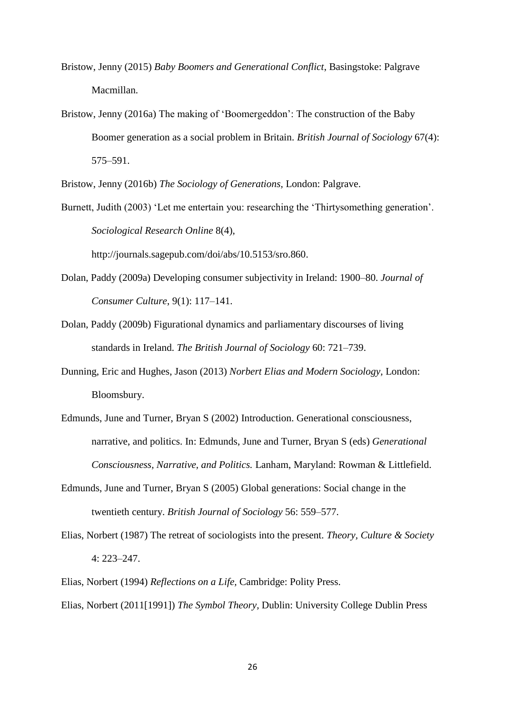- Bristow, Jenny (2015) *Baby Boomers and Generational Conflict*, Basingstoke: Palgrave Macmillan.
- Bristow, Jenny (2016a) The making of 'Boomergeddon': The construction of the Baby Boomer generation as a social problem in Britain. *British Journal of Sociology* 67(4): 575–591.

Bristow, Jenny (2016b) *The Sociology of Generations,* London: Palgrave.

Burnett, Judith (2003) 'Let me entertain you: researching the 'Thirtysomething generation'. *Sociological Research Online* 8(4),

http://journals.sagepub.com/doi/abs/10.5153/sro.860.

- Dolan, Paddy (2009a) Developing consumer subjectivity in Ireland: 1900–80. *Journal of Consumer Culture*, 9(1): 117–141.
- Dolan, Paddy (2009b) Figurational dynamics and parliamentary discourses of living standards in Ireland. *The British Journal of Sociology* 60: 721–739.
- Dunning, Eric and Hughes, Jason (2013) *Norbert Elias and Modern Sociology,* London: Bloomsbury.
- Edmunds, June and Turner, Bryan S (2002) Introduction. Generational consciousness, narrative, and politics. In: Edmunds, June and Turner, Bryan S (eds) *Generational Consciousness, Narrative, and Politics.* Lanham, Maryland: Rowman & Littlefield.
- Edmunds, June and Turner, Bryan S (2005) Global generations: Social change in the twentieth century. *British Journal of Sociology* 56: 559–577.
- Elias, Norbert (1987) The retreat of sociologists into the present. *Theory, Culture & Society* 4: 223–247.
- Elias, Norbert (1994) *Reflections on a Life,* Cambridge: Polity Press. Elias, Norbert (2011[1991]) *The Symbol Theory,* Dublin: University College Dublin Press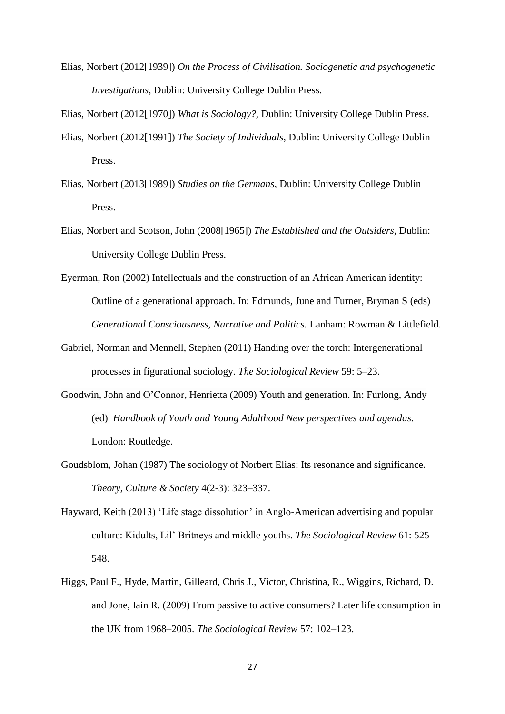Elias, Norbert (2012[1939]) *On the Process of Civilisation. Sociogenetic and psychogenetic Investigations,* Dublin: University College Dublin Press.

Elias, Norbert (2012[1970]) *What is Sociology?,* Dublin: University College Dublin Press.

- Elias, Norbert (2012[1991]) *The Society of Individuals,* Dublin: University College Dublin Press.
- Elias, Norbert (2013[1989]) *Studies on the Germans,* Dublin: University College Dublin Press.
- Elias, Norbert and Scotson, John (2008[1965]) *The Established and the Outsiders,* Dublin: University College Dublin Press.
- Eyerman, Ron (2002) Intellectuals and the construction of an African American identity: Outline of a generational approach. In: Edmunds, June and Turner, Bryman S (eds) *Generational Consciousness, Narrative and Politics.* Lanham: Rowman & Littlefield.
- Gabriel, Norman and Mennell, Stephen (2011) Handing over the torch: Intergenerational processes in figurational sociology. *The Sociological Review* 59: 5–23.
- [Goodwin,](https://www.routledgehandbooks.com/author/John_Goodwin;jsessionid=MQWbBY9LtpP4MKFuAkqWMPXJ) John and [O'Connor,](https://www.routledgehandbooks.com/author/Henrietta_O%E2%80%99Connor;jsessionid=MQWbBY9LtpP4MKFuAkqWMPXJ) Henrietta (2009) Youth and generation. In: Furlong, Andy (ed) *Handbook of Youth and Young Adulthood New perspectives and agendas*. London: Routledge.
- Goudsblom, Johan (1987) The sociology of Norbert Elias: Its resonance and significance. *Theory, Culture & Society* 4(2-3): 323–337.
- Hayward, Keith (2013) 'Life stage dissolution' in Anglo-American advertising and popular culture: Kidults, Lil' Britneys and middle youths. *The Sociological Review* 61: 525– 548.
- Higgs, Paul F., Hyde, Martin, Gilleard, Chris J., Victor, Christina, R., Wiggins, Richard, D. and Jone, Iain R. (2009) From passive to active consumers? Later life consumption in the UK from 1968–2005. *The Sociological Review* 57: 102–123.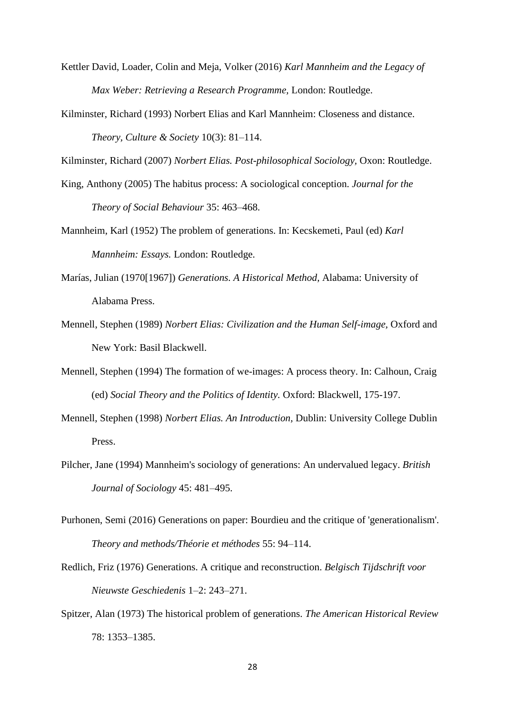- Kettler David, Loader, Colin and Meja, Volker (2016) *Karl Mannheim and the Legacy of Max Weber: Retrieving a Research Programme,* London: Routledge.
- Kilminster, Richard (1993) Norbert Elias and Karl Mannheim: Closeness and distance. *Theory, Culture & Society* 10(3): 81–114.

Kilminster, Richard (2007) *Norbert Elias. Post-philosophical Sociology,* Oxon: Routledge.

- King, Anthony (2005) The habitus process: A sociological conception. *Journal for the Theory of Social Behaviour* 35: 463–468.
- Mannheim, Karl (1952) The problem of generations. In: Kecskemeti, Paul (ed) *Karl Mannheim: Essays.* London: Routledge.
- Marías, Julian (1970[1967]) *Generations. A Historical Method,* Alabama: University of Alabama Press.
- Mennell, Stephen (1989) *Norbert Elias: Civilization and the Human Self-image,* Oxford and New York: Basil Blackwell.
- Mennell, Stephen (1994) The formation of we-images: A process theory. In: Calhoun, Craig (ed) *Social Theory and the Politics of Identity.* Oxford: Blackwell, 175-197.
- Mennell, Stephen (1998) *Norbert Elias. An Introduction,* Dublin: University College Dublin Press.
- Pilcher, Jane (1994) Mannheim's sociology of generations: An undervalued legacy. *British Journal of Sociology* 45: 481–495.
- Purhonen, Semi (2016) Generations on paper: Bourdieu and the critique of 'generationalism'. *Theory and methods/Théorie et méthodes* 55: 94–114.
- Redlich, Friz (1976) Generations. A critique and reconstruction. *Belgisch Tijdschrift voor Nieuwste Geschiedenis* 1–2: 243–271.
- Spitzer, Alan (1973) The historical problem of generations. *The American Historical Review* 78: 1353–1385.